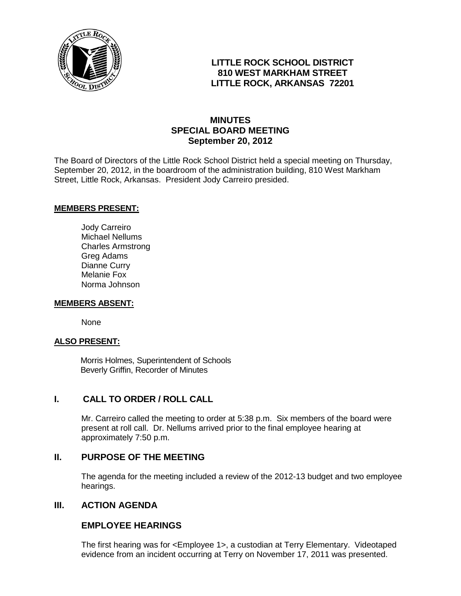

## **LITTLE ROCK SCHOOL DISTRICT 810 WEST MARKHAM STREET LITTLE ROCK, ARKANSAS 72201**

## **MINUTES SPECIAL BOARD MEETING September 20, 2012**

The Board of Directors of the Little Rock School District held a special meeting on Thursday, September 20, 2012, in the boardroom of the administration building, 810 West Markham Street, Little Rock, Arkansas. President Jody Carreiro presided.

#### **MEMBERS PRESENT:**

Jody Carreiro Michael Nellums Charles Armstrong Greg Adams Dianne Curry Melanie Fox Norma Johnson

#### **MEMBERS ABSENT:**

None

#### **ALSO PRESENT:**

 Morris Holmes, Superintendent of Schools Beverly Griffin, Recorder of Minutes

### **I. CALL TO ORDER / ROLL CALL**

Mr. Carreiro called the meeting to order at 5:38 p.m. Six members of the board were present at roll call. Dr. Nellums arrived prior to the final employee hearing at approximately 7:50 p.m.

#### **II. PURPOSE OF THE MEETING**

The agenda for the meeting included a review of the 2012-13 budget and two employee hearings.

#### **III. ACTION AGENDA**

### **EMPLOYEE HEARINGS**

The first hearing was for <Employee 1>, a custodian at Terry Elementary. Videotaped evidence from an incident occurring at Terry on November 17, 2011 was presented.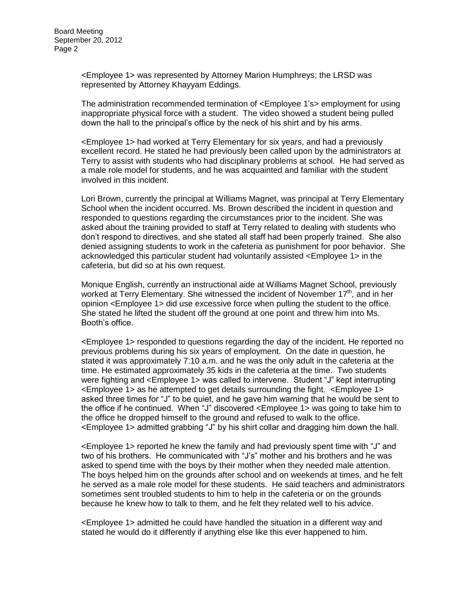<Employee 1> was represented by Attorney Marion Humphreys; the LRSD was represented by Attorney Khayyam Eddings.

The administration recommended termination of <Employee 1's> employment for using inappropriate physical force with a student. The video showed a student being pulled down the hall to the principal's office by the neck of his shirt and by his arms.

<Employee 1> had worked at Terry Elementary for six years, and had a previously excellent record. He stated he had previously been called upon by the administrators at Terry to assist with students who had disciplinary problems at school. He had served as a male role model for students, and he was acquainted and familiar with the student involved in this incident.

Lori Brown, currently the principal at Williams Magnet, was principal at Terry Elementary School when the incident occurred. Ms. Brown described the incident in question and responded to questions regarding the circumstances prior to the incident. She was asked about the training provided to staff at Terry related to dealing with students who don't respond to directives, and she stated all staff had been properly trained. She also denied assigning students to work in the cafeteria as punishment for poor behavior. She acknowledged this particular student had voluntarily assisted <Employee 1> in the cafeteria, but did so at his own request.

Monique English, currently an instructional aide at Williams Magnet School, previously worked at Terry Elementary. She witnessed the incident of November  $17<sup>th</sup>$ , and in her opinion <Employee 1> did use excessive force when pulling the student to the office. She stated he lifted the student off the ground at one point and threw him into Ms. Booth's office.

<Employee 1> responded to questions regarding the day of the incident. He reported no previous problems during his six years of employment. On the date in question, he stated it was approximately 7:10 a.m. and he was the only adult in the cafeteria at the time. He estimated approximately 35 kids in the cafeteria at the time. Two students were fighting and <Employee 1> was called to intervene. Student "J" kept interrupting <Employee 1> as he attempted to get details surrounding the fight. <Employee 1> asked three times for "J" to be quiet, and he gave him warning that he would be sent to the office if he continued. When "J" discovered <Employee 1> was going to take him to the office he dropped himself to the ground and refused to walk to the office. <Employee 1> admitted grabbing "J" by his shirt collar and dragging him down the hall.

<Employee 1> reported he knew the family and had previously spent time with "J" and two of his brothers. He communicated with "J's" mother and his brothers and he was asked to spend time with the boys by their mother when they needed male attention. The boys helped him on the grounds after school and on weekends at times, and he felt he served as a male role model for these students. He said teachers and administrators sometimes sent troubled students to him to help in the cafeteria or on the grounds because he knew how to talk to them, and he felt they related well to his advice.

<Employee 1> admitted he could have handled the situation in a different way and stated he would do it differently if anything else like this ever happened to him.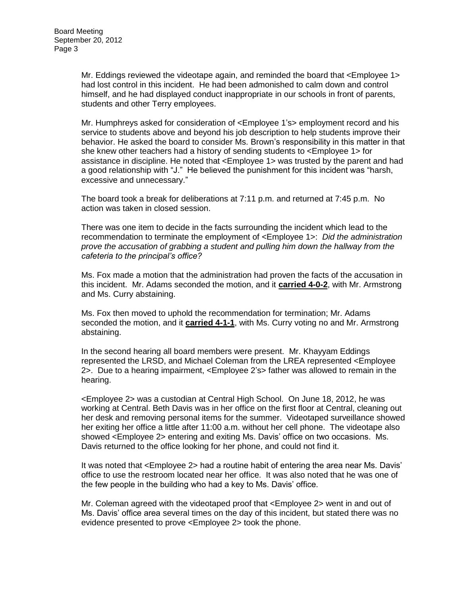Mr. Eddings reviewed the videotape again, and reminded the board that <Employee 1> had lost control in this incident. He had been admonished to calm down and control himself, and he had displayed conduct inappropriate in our schools in front of parents, students and other Terry employees.

Mr. Humphreys asked for consideration of <Employee 1's> employment record and his service to students above and beyond his job description to help students improve their behavior. He asked the board to consider Ms. Brown's responsibility in this matter in that she knew other teachers had a history of sending students to <Employee 1> for assistance in discipline. He noted that <Employee 1> was trusted by the parent and had a good relationship with "J." He believed the punishment for this incident was "harsh, excessive and unnecessary."

The board took a break for deliberations at 7:11 p.m. and returned at 7:45 p.m. No action was taken in closed session.

There was one item to decide in the facts surrounding the incident which lead to the recommendation to terminate the employment of <Employee 1>: *Did the administration prove the accusation of grabbing a student and pulling him down the hallway from the cafeteria to the principal's office?*

Ms. Fox made a motion that the administration had proven the facts of the accusation in this incident. Mr. Adams seconded the motion, and it **carried 4-0-2**, with Mr. Armstrong and Ms. Curry abstaining.

Ms. Fox then moved to uphold the recommendation for termination; Mr. Adams seconded the motion, and it **carried 4-1-1**, with Ms. Curry voting no and Mr. Armstrong abstaining.

In the second hearing all board members were present. Mr. Khayyam Eddings represented the LRSD, and Michael Coleman from the LREA represented <Employee 2>. Due to a hearing impairment, <Employee 2's> father was allowed to remain in the hearing.

<Employee 2> was a custodian at Central High School. On June 18, 2012, he was working at Central. Beth Davis was in her office on the first floor at Central, cleaning out her desk and removing personal items for the summer. Videotaped surveillance showed her exiting her office a little after 11:00 a.m. without her cell phone. The videotape also showed <Employee 2> entering and exiting Ms. Davis' office on two occasions. Ms. Davis returned to the office looking for her phone, and could not find it.

It was noted that <Employee 2> had a routine habit of entering the area near Ms. Davis' office to use the restroom located near her office. It was also noted that he was one of the few people in the building who had a key to Ms. Davis' office.

Mr. Coleman agreed with the videotaped proof that <Employee 2> went in and out of Ms. Davis' office area several times on the day of this incident, but stated there was no evidence presented to prove <Employee 2> took the phone.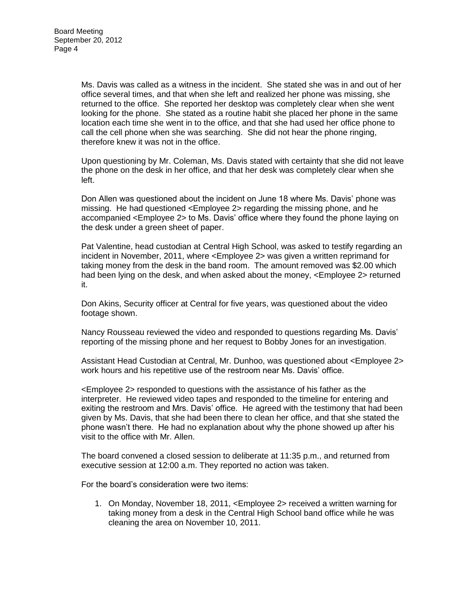Ms. Davis was called as a witness in the incident. She stated she was in and out of her office several times, and that when she left and realized her phone was missing, she returned to the office. She reported her desktop was completely clear when she went looking for the phone. She stated as a routine habit she placed her phone in the same location each time she went in to the office, and that she had used her office phone to call the cell phone when she was searching. She did not hear the phone ringing, therefore knew it was not in the office.

Upon questioning by Mr. Coleman, Ms. Davis stated with certainty that she did not leave the phone on the desk in her office, and that her desk was completely clear when she left.

Don Allen was questioned about the incident on June 18 where Ms. Davis' phone was missing. He had questioned <Employee 2> regarding the missing phone, and he accompanied <Employee 2> to Ms. Davis' office where they found the phone laying on the desk under a green sheet of paper.

Pat Valentine, head custodian at Central High School, was asked to testify regarding an incident in November, 2011, where <Employee 2> was given a written reprimand for taking money from the desk in the band room. The amount removed was \$2.00 which had been lying on the desk, and when asked about the money, <Employee 2> returned it.

Don Akins, Security officer at Central for five years, was questioned about the video footage shown.

Nancy Rousseau reviewed the video and responded to questions regarding Ms. Davis' reporting of the missing phone and her request to Bobby Jones for an investigation.

Assistant Head Custodian at Central, Mr. Dunhoo, was questioned about <Employee 2> work hours and his repetitive use of the restroom near Ms. Davis' office.

<Employee 2> responded to questions with the assistance of his father as the interpreter. He reviewed video tapes and responded to the timeline for entering and exiting the restroom and Mrs. Davis' office. He agreed with the testimony that had been given by Ms. Davis, that she had been there to clean her office, and that she stated the phone wasn't there. He had no explanation about why the phone showed up after his visit to the office with Mr. Allen.

The board convened a closed session to deliberate at 11:35 p.m., and returned from executive session at 12:00 a.m. They reported no action was taken.

For the board's consideration were two items:

1. On Monday, November 18, 2011, <Employee 2> received a written warning for taking money from a desk in the Central High School band office while he was cleaning the area on November 10, 2011.